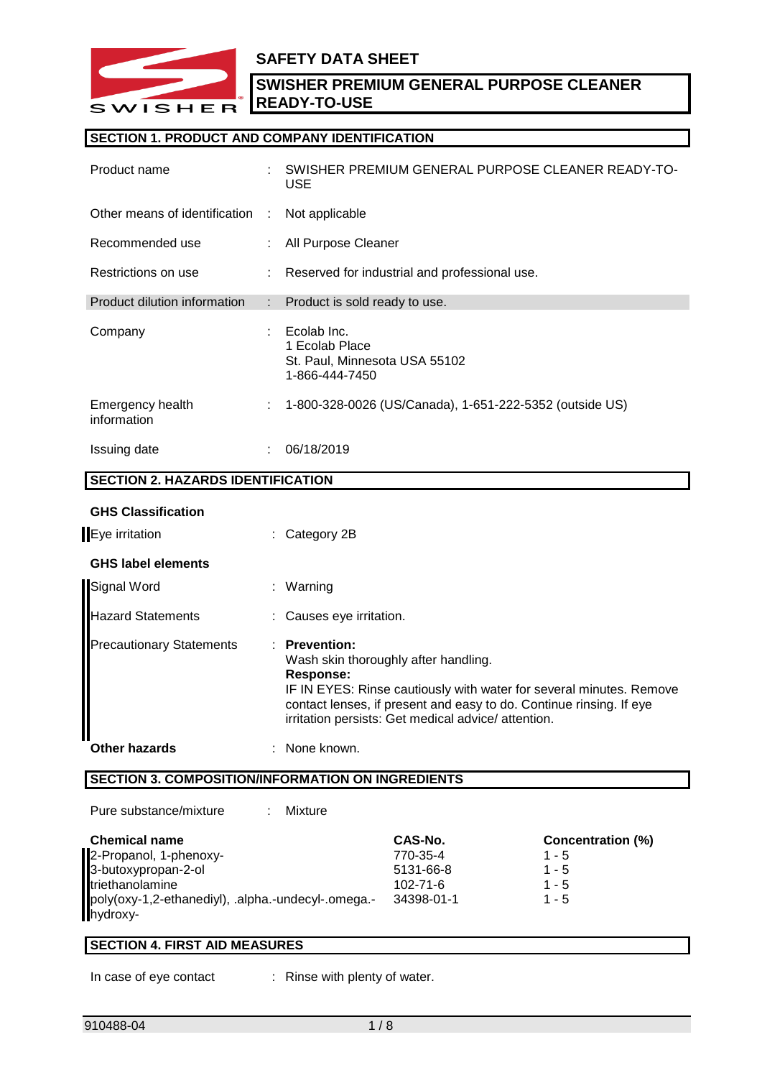

# **SAFETY DATA SHEET**

**SWISHER PREMIUM GENERAL PURPOSE CLEANER READY-TO-USE**

## **SECTION 1. PRODUCT AND COMPANY IDENTIFICATION**

| Product name                             |    | SWISHER PREMIUM GENERAL PURPOSE CLEANER READY-TO-<br><b>USE</b>                  |
|------------------------------------------|----|----------------------------------------------------------------------------------|
| Other means of identification :          |    | Not applicable                                                                   |
| Recommended use                          |    | All Purpose Cleaner                                                              |
| Restrictions on use                      |    | Reserved for industrial and professional use.                                    |
| Product dilution information             | ÷. | Product is sold ready to use.                                                    |
| Company                                  |    | Ecolab Inc.<br>1 Ecolab Place<br>St. Paul, Minnesota USA 55102<br>1-866-444-7450 |
| Emergency health<br>information          | ÷. | 1-800-328-0026 (US/Canada), 1-651-222-5352 (outside US)                          |
| Issuing date                             | ÷. | 06/18/2019                                                                       |
| <b>SECTION 2. HAZARDS IDENTIFICATION</b> |    |                                                                                  |

# **GHS Classification**

| Eye irritation                  | $\therefore$ Category 2B                                                                                                                                                                                                                                                 |
|---------------------------------|--------------------------------------------------------------------------------------------------------------------------------------------------------------------------------------------------------------------------------------------------------------------------|
| <b>GHS label elements</b>       |                                                                                                                                                                                                                                                                          |
| Signal Word                     | : Warning                                                                                                                                                                                                                                                                |
| <b>Hazard Statements</b>        | : Causes eye irritation.                                                                                                                                                                                                                                                 |
| <b>Precautionary Statements</b> | $:$ Prevention:<br>Wash skin thoroughly after handling.<br>Response:<br>IF IN EYES: Rinse cautiously with water for several minutes. Remove<br>contact lenses, if present and easy to do. Continue rinsing. If eye<br>irritation persists: Get medical advice/attention. |
| <b>Other hazards</b>            | : None known.                                                                                                                                                                                                                                                            |

# **SECTION 3. COMPOSITION/INFORMATION ON INGREDIENTS**

| Pure substance/mixture<br>Mixture                  |                |                          |
|----------------------------------------------------|----------------|--------------------------|
| <b>Chemical name</b>                               | CAS-No.        | <b>Concentration (%)</b> |
| 2-Propanol, 1-phenoxy-                             | 770-35-4       | $1 - 5$                  |
| 3-butoxypropan-2-ol                                | 5131-66-8      | $1 - 5$                  |
| triethanolamine                                    | $102 - 71 - 6$ | $1 - 5$                  |
| poly(oxy-1,2-ethanediyl), .alpha.-undecyl-.omega.- | 34398-01-1     | $1 - 5$                  |
| hydroxy-                                           |                |                          |

### **SECTION 4. FIRST AID MEASURES**

In case of eye contact : Rinse with plenty of water.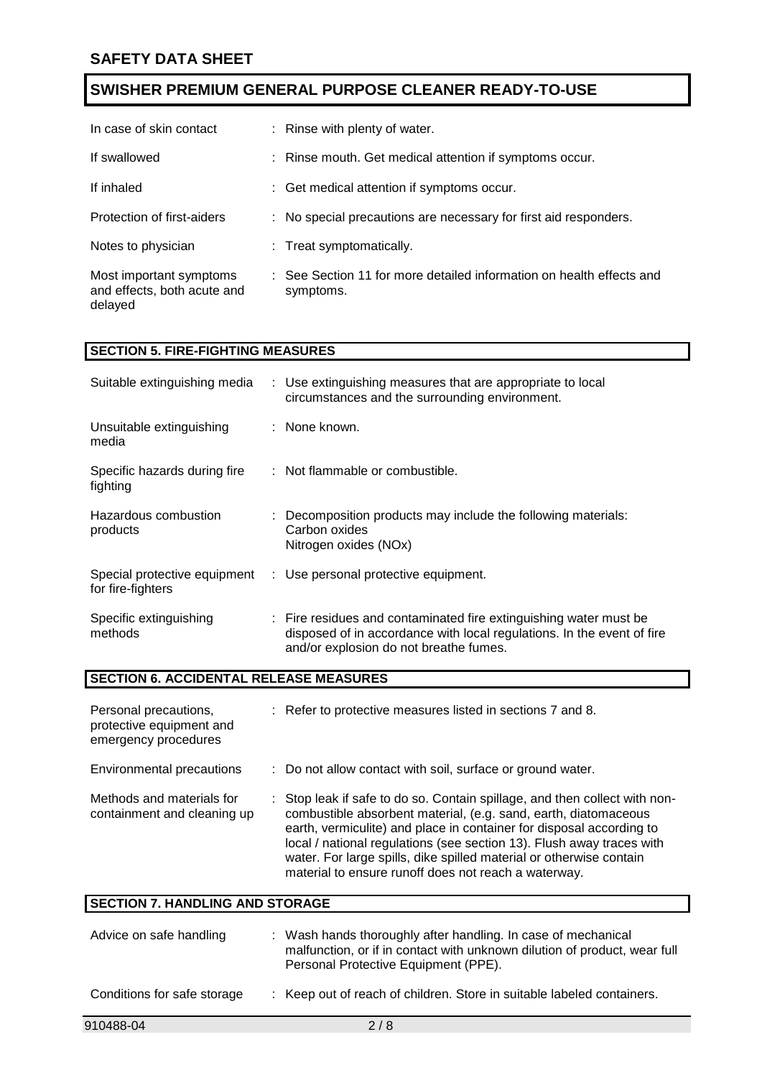| In case of skin contact                                           | : Rinse with plenty of water.                                                     |
|-------------------------------------------------------------------|-----------------------------------------------------------------------------------|
| If swallowed                                                      | : Rinse mouth. Get medical attention if symptoms occur.                           |
| If inhaled                                                        | : Get medical attention if symptoms occur.                                        |
| Protection of first-aiders                                        | : No special precautions are necessary for first aid responders.                  |
| Notes to physician                                                | : Treat symptomatically.                                                          |
| Most important symptoms<br>and effects, both acute and<br>delayed | : See Section 11 for more detailed information on health effects and<br>symptoms. |

### **SECTION 5. FIRE-FIGHTING MEASURES**

| Suitable extinguishing media                      | : Use extinguishing measures that are appropriate to local<br>circumstances and the surrounding environment.                                                                          |
|---------------------------------------------------|---------------------------------------------------------------------------------------------------------------------------------------------------------------------------------------|
| Unsuitable extinguishing<br>media                 | : None known.                                                                                                                                                                         |
| Specific hazards during fire<br>fighting          | : Not flammable or combustible.                                                                                                                                                       |
| Hazardous combustion<br>products                  | : Decomposition products may include the following materials:<br>Carbon oxides<br>Nitrogen oxides (NOx)                                                                               |
| Special protective equipment<br>for fire-fighters | : Use personal protective equipment.                                                                                                                                                  |
| Specific extinguishing<br>methods                 | : Fire residues and contaminated fire extinguishing water must be<br>disposed of in accordance with local regulations. In the event of fire<br>and/or explosion do not breathe fumes. |

### **SECTION 6. ACCIDENTAL RELEASE MEASURES**

| Personal precautions,<br>protective equipment and<br>emergency procedures | : Refer to protective measures listed in sections 7 and 8.                                                                                                                                                                                                                                                                                                                                                                    |
|---------------------------------------------------------------------------|-------------------------------------------------------------------------------------------------------------------------------------------------------------------------------------------------------------------------------------------------------------------------------------------------------------------------------------------------------------------------------------------------------------------------------|
| Environmental precautions                                                 | : Do not allow contact with soil, surface or ground water.                                                                                                                                                                                                                                                                                                                                                                    |
| Methods and materials for<br>containment and cleaning up                  | : Stop leak if safe to do so. Contain spillage, and then collect with non-<br>combustible absorbent material, (e.g. sand, earth, diatomaceous<br>earth, vermiculite) and place in container for disposal according to<br>local / national regulations (see section 13). Flush away traces with<br>water. For large spills, dike spilled material or otherwise contain<br>material to ensure runoff does not reach a waterway. |

| <b>SECTION 7. HANDLING AND STORAGE</b> |                                                                                                                                                                                    |  |  |  |
|----------------------------------------|------------------------------------------------------------------------------------------------------------------------------------------------------------------------------------|--|--|--|
| Advice on safe handling                | : Wash hands thoroughly after handling. In case of mechanical<br>malfunction, or if in contact with unknown dilution of product, wear full<br>Personal Protective Equipment (PPE). |  |  |  |
| Conditions for safe storage            | : Keep out of reach of children. Store in suitable labeled containers.                                                                                                             |  |  |  |
| 910488-04                              | 2/8                                                                                                                                                                                |  |  |  |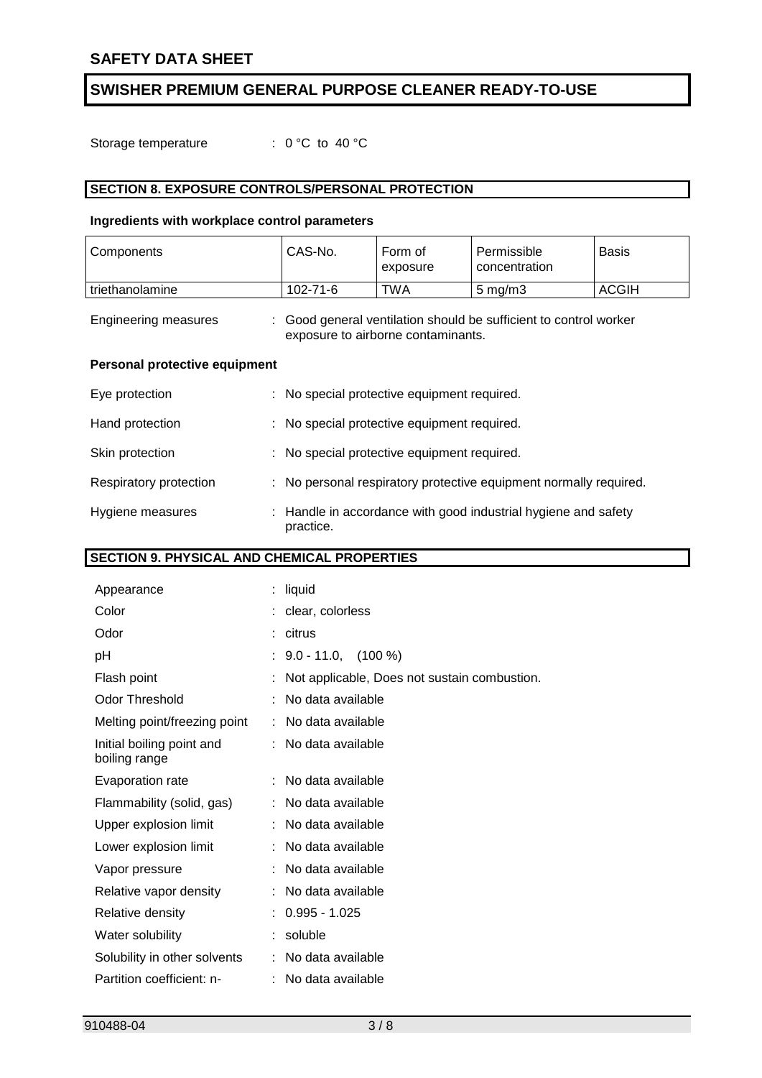Storage temperature : 0 °C to 40 °C

# **SECTION 8. EXPOSURE CONTROLS/PERSONAL PROTECTION**

# **Ingredients with workplace control parameters**

| Components                           | CAS-No.                                     | Form of<br>exposure                | Permissible<br>concentration                                      | <b>Basis</b> |
|--------------------------------------|---------------------------------------------|------------------------------------|-------------------------------------------------------------------|--------------|
| triethanolamine                      | 102-71-6                                    | TWA                                | $5 \text{ mg/m}$ 3                                                | <b>ACGIH</b> |
| <b>Engineering measures</b>          |                                             | exposure to airborne contaminants. | : Good general ventilation should be sufficient to control worker |              |
| <b>Personal protective equipment</b> |                                             |                                    |                                                                   |              |
| Eye protection                       | : No special protective equipment required. |                                    |                                                                   |              |
| Hand protection                      | : No special protective equipment required. |                                    |                                                                   |              |
| Skin protection                      | : No special protective equipment required. |                                    |                                                                   |              |
| Respiratory protection               |                                             |                                    | : No personal respiratory protective equipment normally required. |              |
| Hygiene measures                     | practice.                                   |                                    | : Handle in accordance with good industrial hygiene and safety    |              |

# **SECTION 9. PHYSICAL AND CHEMICAL PROPERTIES**

| Appearance                                 | t. | liquid                                       |
|--------------------------------------------|----|----------------------------------------------|
| Color                                      |    | clear, colorless                             |
| Odor                                       |    | citrus                                       |
| рH                                         |    | $9.0 - 11.0, (100\%)$                        |
| Flash point                                |    | Not applicable, Does not sustain combustion. |
| <b>Odor Threshold</b>                      |    | No data available                            |
| Melting point/freezing point               | ÷  | No data available                            |
| Initial boiling point and<br>boiling range |    | No data available                            |
| Evaporation rate                           |    | No data available                            |
| Flammability (solid, gas)                  |    | No data available                            |
| Upper explosion limit                      |    | No data available                            |
| Lower explosion limit                      |    | No data available                            |
| Vapor pressure                             |    | No data available                            |
| Relative vapor density                     |    | No data available                            |
| Relative density                           |    | $0.995 - 1.025$                              |
| Water solubility                           |    | soluble                                      |
| Solubility in other solvents               |    | No data available                            |
| Partition coefficient: n-                  |    | No data available                            |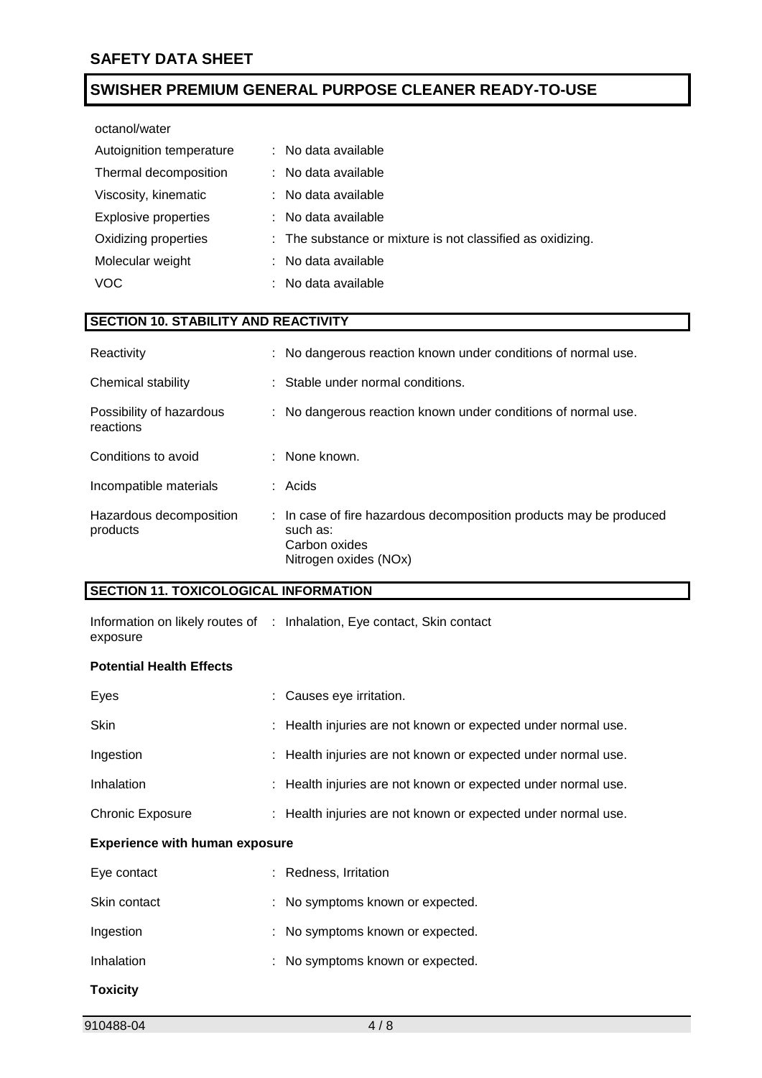octanol/water

| Autoignition temperature    | : No data available                                        |
|-----------------------------|------------------------------------------------------------|
| Thermal decomposition       | : No data available                                        |
| Viscosity, kinematic        | : No data available                                        |
| <b>Explosive properties</b> | : No data available                                        |
| Oxidizing properties        | : The substance or mixture is not classified as oxidizing. |
| Molecular weight            | : No data available                                        |
| <b>VOC</b>                  | No data available                                          |

# **SECTION 10. STABILITY AND REACTIVITY**

| Reactivity                            | : No dangerous reaction known under conditions of normal use.                                                            |
|---------------------------------------|--------------------------------------------------------------------------------------------------------------------------|
| Chemical stability                    | : Stable under normal conditions.                                                                                        |
| Possibility of hazardous<br>reactions | : No dangerous reaction known under conditions of normal use.                                                            |
| Conditions to avoid                   | $\therefore$ None known.                                                                                                 |
| Incompatible materials                | : Acids                                                                                                                  |
| Hazardous decomposition<br>products   | : In case of fire hazardous decomposition products may be produced<br>such as:<br>Carbon oxides<br>Nitrogen oxides (NOx) |

# **SECTION 11. TOXICOLOGICAL INFORMATION**

Information on likely routes of : Inhalation, Eye contact, Skin contact exposure

### **Potential Health Effects**

| Eyes                                  |  | : Causes eye irritation.                                      |  |  |
|---------------------------------------|--|---------------------------------------------------------------|--|--|
| <b>Skin</b>                           |  | : Health injuries are not known or expected under normal use. |  |  |
| Ingestion                             |  | : Health injuries are not known or expected under normal use. |  |  |
| Inhalation                            |  | : Health injuries are not known or expected under normal use. |  |  |
| <b>Chronic Exposure</b>               |  | : Health injuries are not known or expected under normal use. |  |  |
| <b>Experience with human exposure</b> |  |                                                               |  |  |
| Eye contact                           |  | : Redness, Irritation                                         |  |  |
| Skin contact                          |  | : No symptoms known or expected.                              |  |  |
| Ingestion                             |  | : No symptoms known or expected.                              |  |  |
| Inhalation                            |  | : No symptoms known or expected.                              |  |  |
| <b>Toxicity</b>                       |  |                                                               |  |  |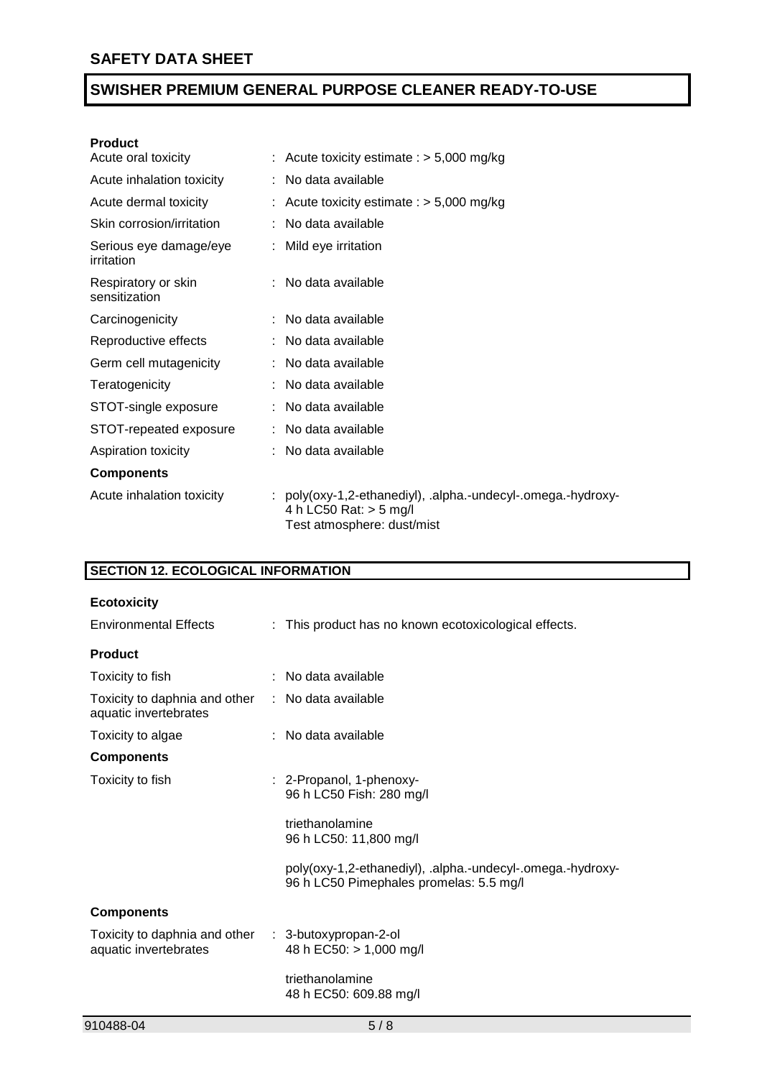### **Product**

| Acute oral toxicity                  | : Acute toxicity estimate : $> 5,000$ mg/kg                                                                            |  |
|--------------------------------------|------------------------------------------------------------------------------------------------------------------------|--|
| Acute inhalation toxicity            | : No data available                                                                                                    |  |
| Acute dermal toxicity                | : Acute toxicity estimate : $> 5,000$ mg/kg                                                                            |  |
| Skin corrosion/irritation            | : No data available                                                                                                    |  |
| Serious eye damage/eye<br>irritation | : Mild eye irritation                                                                                                  |  |
| Respiratory or skin<br>sensitization | : No data available                                                                                                    |  |
| Carcinogenicity                      | : No data available                                                                                                    |  |
| Reproductive effects                 | : No data available                                                                                                    |  |
| Germ cell mutagenicity               | : No data available                                                                                                    |  |
| Teratogenicity                       | No data available                                                                                                      |  |
| STOT-single exposure                 | : No data available                                                                                                    |  |
| STOT-repeated exposure               | : No data available                                                                                                    |  |
| Aspiration toxicity                  | : No data available                                                                                                    |  |
| <b>Components</b>                    |                                                                                                                        |  |
| Acute inhalation toxicity            | : poly(oxy-1,2-ethanediyl), .alpha.-undecyl-.omega.-hydroxy-<br>4 h LC50 Rat: $>$ 5 mg/l<br>Test atmosphere: dust/mist |  |

# **SECTION 12. ECOLOGICAL INFORMATION**

| <b>Ecotoxicity</b>                                     |                                                                                                       |  |  |
|--------------------------------------------------------|-------------------------------------------------------------------------------------------------------|--|--|
| <b>Environmental Effects</b>                           | : This product has no known ecotoxicological effects.                                                 |  |  |
| <b>Product</b>                                         |                                                                                                       |  |  |
| Toxicity to fish                                       | No data available                                                                                     |  |  |
| Toxicity to daphnia and other<br>aquatic invertebrates | : No data available                                                                                   |  |  |
| Toxicity to algae                                      | No data available                                                                                     |  |  |
| <b>Components</b>                                      |                                                                                                       |  |  |
| Toxicity to fish                                       | : 2-Propanol, 1-phenoxy-<br>96 h LC50 Fish: 280 mg/l                                                  |  |  |
|                                                        | triethanolamine<br>96 h LC50: 11,800 mg/l                                                             |  |  |
|                                                        | poly(oxy-1,2-ethanediyl), .alpha.-undecyl-.omega.-hydroxy-<br>96 h LC50 Pimephales promelas: 5.5 mg/l |  |  |
| <b>Components</b>                                      |                                                                                                       |  |  |
| Toxicity to daphnia and other<br>aquatic invertebrates | : 3-butoxypropan-2-ol<br>48 h EC50: > 1,000 mg/l                                                      |  |  |
|                                                        | triethanolamine<br>48 h EC50: 609.88 mg/l                                                             |  |  |
| 910488-04                                              | 5/8                                                                                                   |  |  |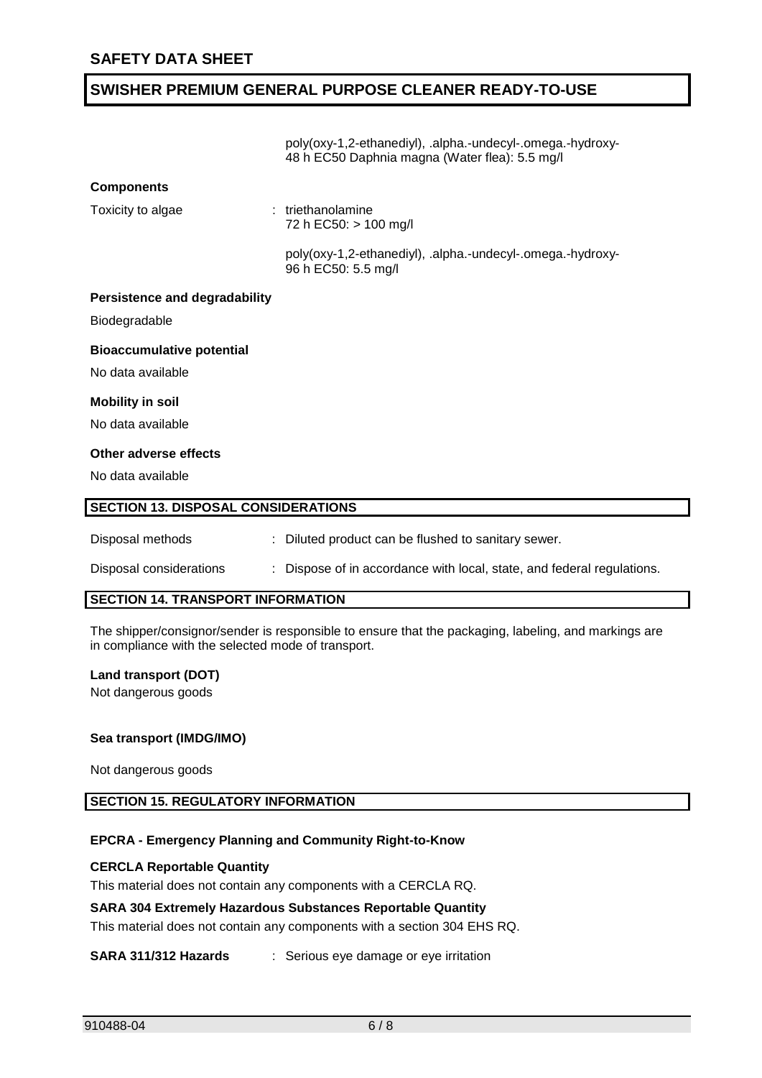|                                            | poly(oxy-1,2-ethanediyl), .alpha.-undecyl-.omega.-hydroxy-<br>48 h EC50 Daphnia magna (Water flea): 5.5 mg/l |  |  |  |
|--------------------------------------------|--------------------------------------------------------------------------------------------------------------|--|--|--|
| <b>Components</b>                          |                                                                                                              |  |  |  |
| Toxicity to algae                          | : triethanolamine<br>72 h EC50: > 100 mg/l                                                                   |  |  |  |
|                                            | poly(oxy-1,2-ethanediyl), .alpha.-undecyl-.omega.-hydroxy-<br>96 h EC50: 5.5 mg/l                            |  |  |  |
| <b>Persistence and degradability</b>       |                                                                                                              |  |  |  |
| Biodegradable                              |                                                                                                              |  |  |  |
| <b>Bioaccumulative potential</b>           |                                                                                                              |  |  |  |
| No data available                          |                                                                                                              |  |  |  |
| <b>Mobility in soil</b>                    |                                                                                                              |  |  |  |
| No data available                          |                                                                                                              |  |  |  |
| Other adverse effects                      |                                                                                                              |  |  |  |
| No data available                          |                                                                                                              |  |  |  |
| <b>SECTION 13. DISPOSAL CONSIDERATIONS</b> |                                                                                                              |  |  |  |
| Disposal methods                           | : Diluted product can be flushed to sanitary sewer.                                                          |  |  |  |
| Disposal considerations                    | Dispose of in accordance with local, state, and federal regulations.                                         |  |  |  |

## **SECTION 14. TRANSPORT INFORMATION**

The shipper/consignor/sender is responsible to ensure that the packaging, labeling, and markings are in compliance with the selected mode of transport.

### **Land transport (DOT)**

Not dangerous goods

### **Sea transport (IMDG/IMO)**

Not dangerous goods

# **SECTION 15. REGULATORY INFORMATION**

### **EPCRA - Emergency Planning and Community Right-to-Know**

### **CERCLA Reportable Quantity**

This material does not contain any components with a CERCLA RQ.

### **SARA 304 Extremely Hazardous Substances Reportable Quantity**

This material does not contain any components with a section 304 EHS RQ.

### **SARA 311/312 Hazards** : Serious eye damage or eye irritation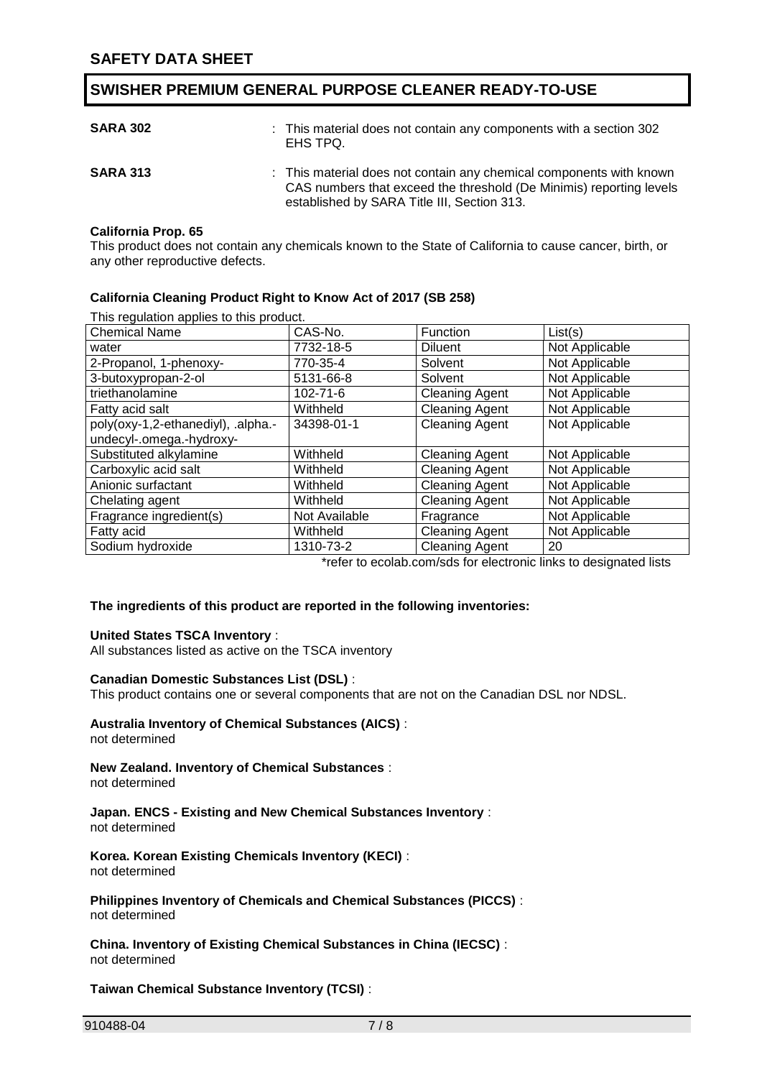| <b>SARA 302</b> | : This material does not contain any components with a section 302<br>EHS TPQ.                                                                                                            |
|-----------------|-------------------------------------------------------------------------------------------------------------------------------------------------------------------------------------------|
| <b>SARA 313</b> | : This material does not contain any chemical components with known<br>CAS numbers that exceed the threshold (De Minimis) reporting levels<br>established by SARA Title III, Section 313. |

### **California Prop. 65**

This product does not contain any chemicals known to the State of California to cause cancer, birth, or any other reproductive defects.

### **California Cleaning Product Right to Know Act of 2017 (SB 258)**

This regulation applies to this product.

| This regarded applied to the product |               |                       |                |
|--------------------------------------|---------------|-----------------------|----------------|
| <b>Chemical Name</b>                 | CAS-No.       | Function              | List(s)        |
| water                                | 7732-18-5     | Diluent               | Not Applicable |
| 2-Propanol, 1-phenoxy-               | 770-35-4      | Solvent               | Not Applicable |
| 3-butoxypropan-2-ol                  | 5131-66-8     | Solvent               | Not Applicable |
| triethanolamine                      | 102-71-6      | <b>Cleaning Agent</b> | Not Applicable |
| Fatty acid salt                      | Withheld      | <b>Cleaning Agent</b> | Not Applicable |
| poly(oxy-1,2-ethanediyl), .alpha.-   | 34398-01-1    | <b>Cleaning Agent</b> | Not Applicable |
| undecyl-.omega.-hydroxy-             |               |                       |                |
| Substituted alkylamine               | Withheld      | <b>Cleaning Agent</b> | Not Applicable |
| Carboxylic acid salt                 | Withheld      | <b>Cleaning Agent</b> | Not Applicable |
| Anionic surfactant                   | Withheld      | <b>Cleaning Agent</b> | Not Applicable |
| Chelating agent                      | Withheld      | <b>Cleaning Agent</b> | Not Applicable |
| Fragrance ingredient(s)              | Not Available | Fragrance             | Not Applicable |
| Fatty acid                           | Withheld      | <b>Cleaning Agent</b> | Not Applicable |
| Sodium hydroxide                     | 1310-73-2     | <b>Cleaning Agent</b> | 20             |
|                                      |               | .                     | .              |

\*refer to ecolab.com/sds for electronic links to designated lists

### **The ingredients of this product are reported in the following inventories:**

### **United States TSCA Inventory** :

All substances listed as active on the TSCA inventory

### **Canadian Domestic Substances List (DSL)** :

This product contains one or several components that are not on the Canadian DSL nor NDSL.

#### **Australia Inventory of Chemical Substances (AICS)** : not determined

**New Zealand. Inventory of Chemical Substances** :

not determined

**Japan. ENCS - Existing and New Chemical Substances Inventory** : not determined

**Korea. Korean Existing Chemicals Inventory (KECI)** : not determined

**Philippines Inventory of Chemicals and Chemical Substances (PICCS)** : not determined

**China. Inventory of Existing Chemical Substances in China (IECSC)** : not determined

**Taiwan Chemical Substance Inventory (TCSI)** :